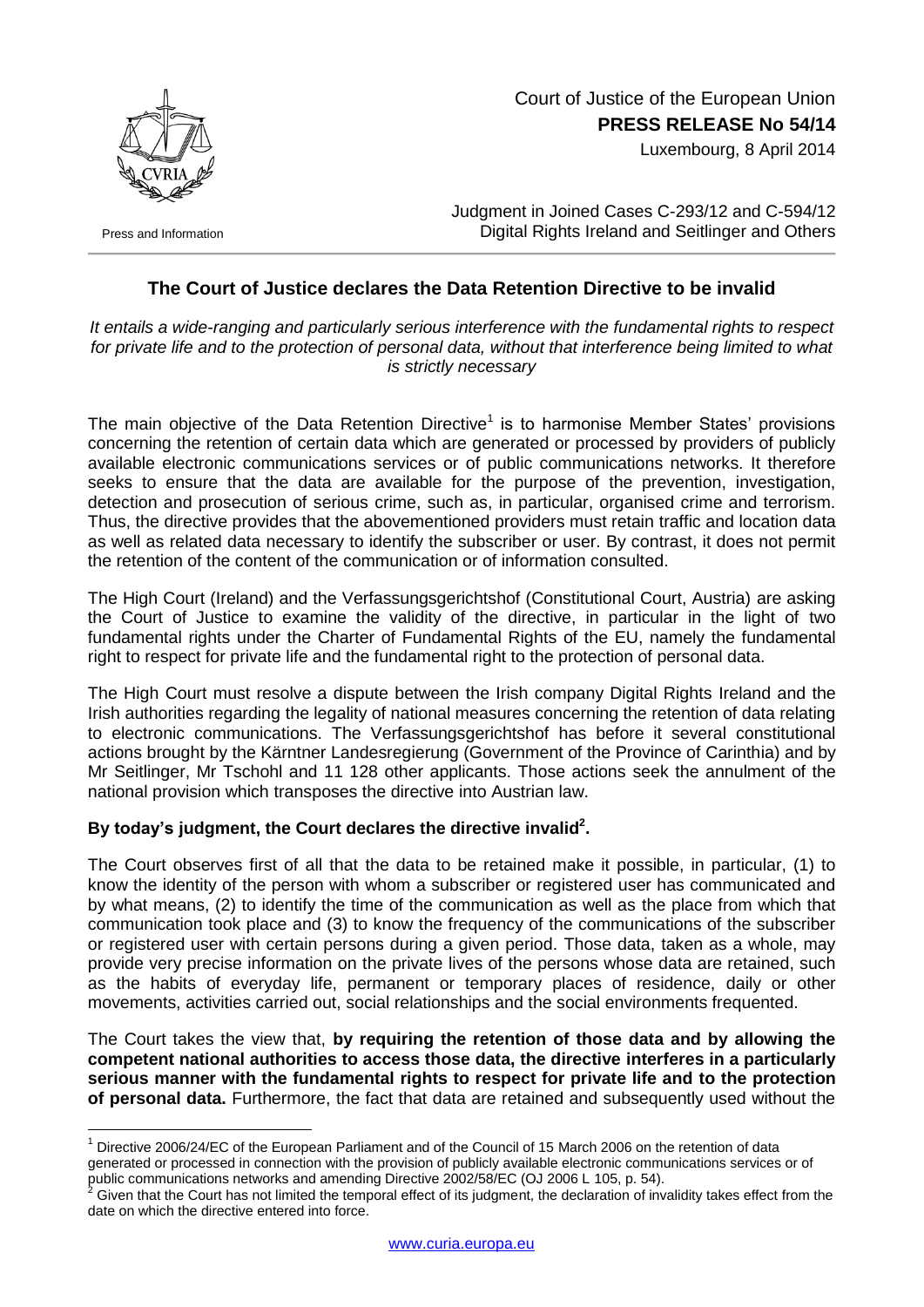

Press and Information

1

## Court of Justice of the European Union **PRESS RELEASE No 54/14**

Luxembourg, 8 April 2014

Judgment in Joined Cases C-293/12 and C-594/12 Digital Rights Ireland and Seitlinger and Others

## **The Court of Justice declares the Data Retention Directive to be invalid**

*It entails a wide-ranging and particularly serious interference with the fundamental rights to respect for private life and to the protection of personal data, without that interference being limited to what is strictly necessary*

The main objective of the Data Retention Directive<sup>1</sup> is to harmonise Member States' provisions concerning the retention of certain data which are generated or processed by providers of publicly available electronic communications services or of public communications networks. It therefore seeks to ensure that the data are available for the purpose of the prevention, investigation, detection and prosecution of serious crime, such as, in particular, organised crime and terrorism. Thus, the directive provides that the abovementioned providers must retain traffic and location data as well as related data necessary to identify the subscriber or user. By contrast, it does not permit the retention of the content of the communication or of information consulted.

The High Court (Ireland) and the Verfassungsgerichtshof (Constitutional Court, Austria) are asking the Court of Justice to examine the validity of the directive, in particular in the light of two fundamental rights under the Charter of Fundamental Rights of the EU, namely the fundamental right to respect for private life and the fundamental right to the protection of personal data.

The High Court must resolve a dispute between the Irish company Digital Rights Ireland and the Irish authorities regarding the legality of national measures concerning the retention of data relating to electronic communications. The Verfassungsgerichtshof has before it several constitutional actions brought by the Kärntner Landesregierung (Government of the Province of Carinthia) and by Mr Seitlinger, Mr Tschohl and 11 128 other applicants. Those actions seek the annulment of the national provision which transposes the directive into Austrian law.

## **By today's judgment, the Court declares the directive invalid<sup>2</sup> .**

The Court observes first of all that the data to be retained make it possible, in particular, (1) to know the identity of the person with whom a subscriber or registered user has communicated and by what means, (2) to identify the time of the communication as well as the place from which that communication took place and (3) to know the frequency of the communications of the subscriber or registered user with certain persons during a given period. Those data, taken as a whole, may provide very precise information on the private lives of the persons whose data are retained, such as the habits of everyday life, permanent or temporary places of residence, daily or other movements, activities carried out, social relationships and the social environments frequented.

The Court takes the view that, **by requiring the retention of those data and by allowing the competent national authorities to access those data, the directive interferes in a particularly serious manner with the fundamental rights to respect for private life and to the protection of personal data.** Furthermore, the fact that data are retained and subsequently used without the

Directive 2006/24/EC of the European Parliament and of the Council of 15 March 2006 on the retention of data generated or processed in connection with the provision of publicly available electronic communications services or of public communications networks and amending Directive 2002/58/EC (OJ 2006 L 105, p. 54).

Given that the Court has not limited the temporal effect of its judgment, the declaration of invalidity takes effect from the date on which the directive entered into force.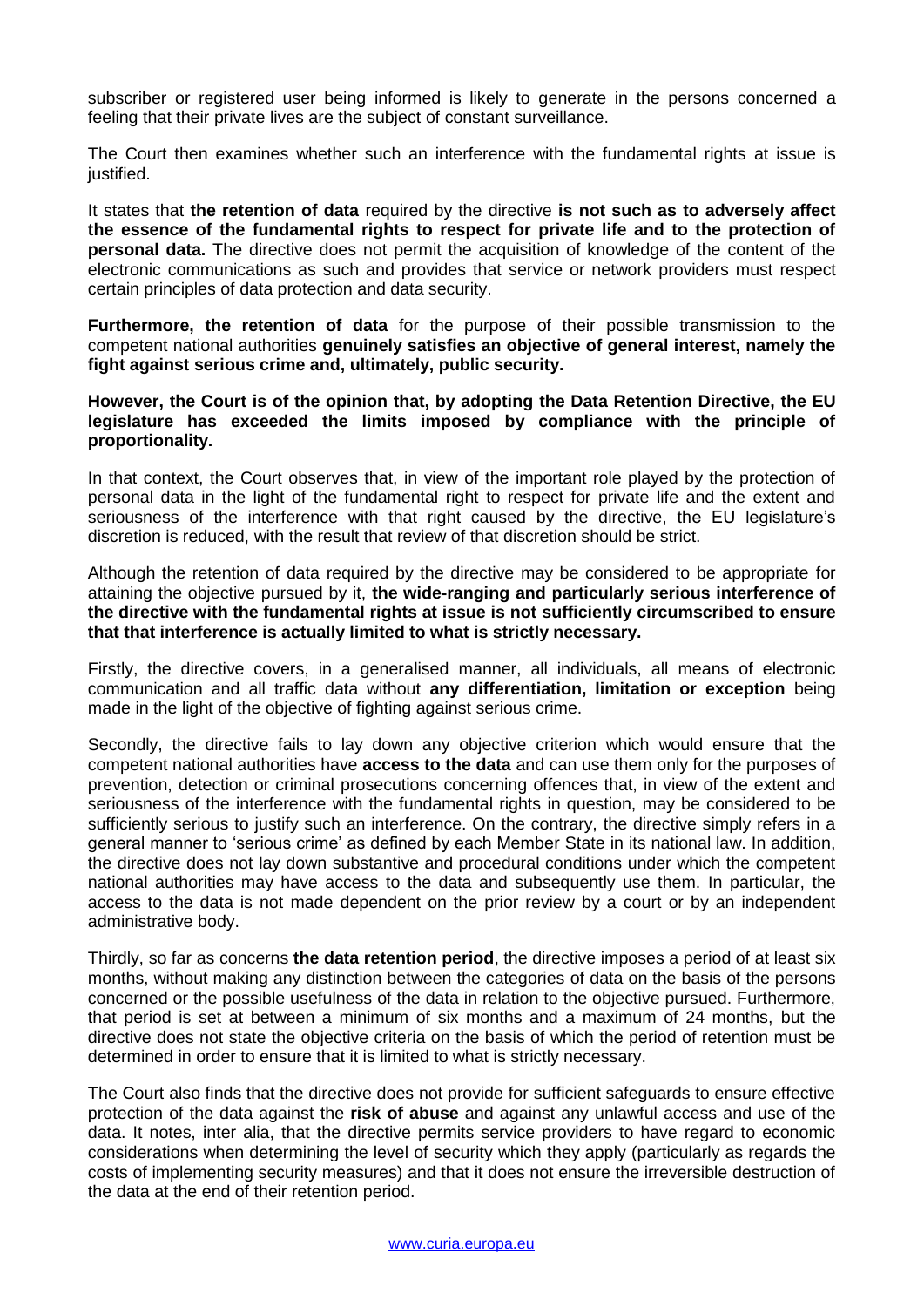subscriber or registered user being informed is likely to generate in the persons concerned a feeling that their private lives are the subject of constant surveillance.

The Court then examines whether such an interference with the fundamental rights at issue is justified.

It states that **the retention of data** required by the directive **is not such as to adversely affect the essence of the fundamental rights to respect for private life and to the protection of personal data.** The directive does not permit the acquisition of knowledge of the content of the electronic communications as such and provides that service or network providers must respect certain principles of data protection and data security.

**Furthermore, the retention of data** for the purpose of their possible transmission to the competent national authorities **genuinely satisfies an objective of general interest, namely the fight against serious crime and, ultimately, public security.**

## **However, the Court is of the opinion that, by adopting the Data Retention Directive, the EU legislature has exceeded the limits imposed by compliance with the principle of proportionality.**

In that context, the Court observes that, in view of the important role played by the protection of personal data in the light of the fundamental right to respect for private life and the extent and seriousness of the interference with that right caused by the directive, the EU legislature's discretion is reduced, with the result that review of that discretion should be strict.

Although the retention of data required by the directive may be considered to be appropriate for attaining the objective pursued by it, **the wide-ranging and particularly serious interference of the directive with the fundamental rights at issue is not sufficiently circumscribed to ensure that that interference is actually limited to what is strictly necessary.**

Firstly, the directive covers, in a generalised manner, all individuals, all means of electronic communication and all traffic data without **any differentiation, limitation or exception** being made in the light of the objective of fighting against serious crime.

Secondly, the directive fails to lay down any objective criterion which would ensure that the competent national authorities have **access to the data** and can use them only for the purposes of prevention, detection or criminal prosecutions concerning offences that, in view of the extent and seriousness of the interference with the fundamental rights in question, may be considered to be sufficiently serious to justify such an interference. On the contrary, the directive simply refers in a general manner to 'serious crime' as defined by each Member State in its national law. In addition, the directive does not lay down substantive and procedural conditions under which the competent national authorities may have access to the data and subsequently use them. In particular, the access to the data is not made dependent on the prior review by a court or by an independent administrative body.

Thirdly, so far as concerns **the data retention period**, the directive imposes a period of at least six months, without making any distinction between the categories of data on the basis of the persons concerned or the possible usefulness of the data in relation to the objective pursued. Furthermore, that period is set at between a minimum of six months and a maximum of 24 months, but the directive does not state the objective criteria on the basis of which the period of retention must be determined in order to ensure that it is limited to what is strictly necessary.

The Court also finds that the directive does not provide for sufficient safeguards to ensure effective protection of the data against the **risk of abuse** and against any unlawful access and use of the data. It notes, inter alia, that the directive permits service providers to have regard to economic considerations when determining the level of security which they apply (particularly as regards the costs of implementing security measures) and that it does not ensure the irreversible destruction of the data at the end of their retention period.